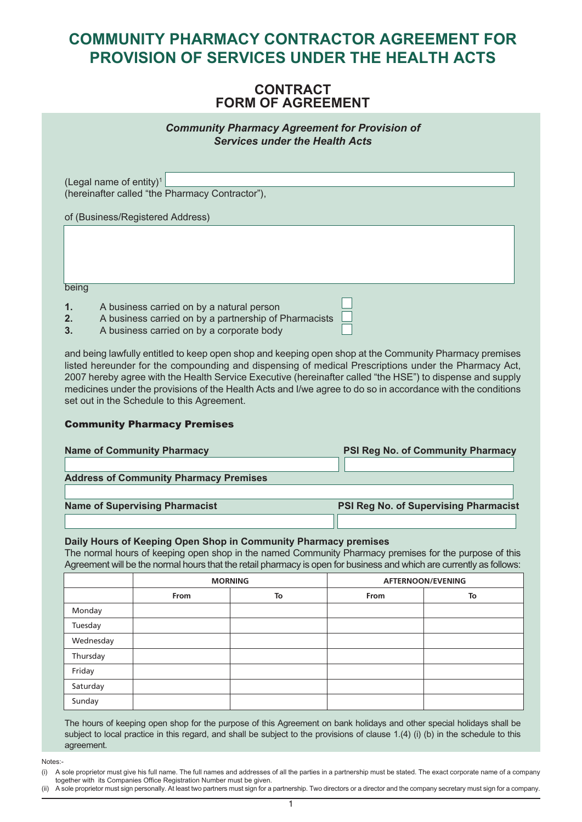### *CONTRACT FORM OF AGREEMENT*

*Community Pharmacy Agreement for Provision of Services under the Health Acts*

| (Legal name of entity) <sup>1</sup><br>(hereinafter called "the Pharmacy Contractor"), |  |
|----------------------------------------------------------------------------------------|--|
| of (Business/Registered Address)                                                       |  |
|                                                                                        |  |
|                                                                                        |  |
|                                                                                        |  |
| being                                                                                  |  |

- *1. A business carried on by a natural person*
- *2. A business carried on by a partnership of Pharmacists*
- *3. A business carried on by a corporate body*

*and being lawfully entitled to keep open shop and keeping open shop at the Community Pharmacy premises listed hereunder for the compounding and dispensing of medical Prescriptions under the Pharmacy Act, 2007 hereby agree with the Health Service Executive (hereinafter called "the HSE") to dispense and supply* medicines under the provisions of the Health Acts and I/we agree to do so in accordance with the conditions *set out in the Schedule to this Agreement.*

#### *Community Pharmacy Premises*

| <b>Name of Community Pharmacy</b>             | <b>PSI Reg No. of Community Pharmacy</b> |
|-----------------------------------------------|------------------------------------------|
| <b>Address of Community Pharmacy Premises</b> |                                          |
| <b>Name of Supervising Pharmacist</b>         | PSI Reg No. of Supervising Pharmacist    |

#### *Daily Hours of Keeping Open Shop in Community Pharmacy premises*

The normal hours of keeping open shop in the named Community Pharmacy premises for the purpose of this Agreement will be the normal hours that the retail pharmacy is open for business and which are currently as follows:

|           |      | <b>MORNING</b> | <b>AFTERNOON/EVENING</b> |    |  |  |
|-----------|------|----------------|--------------------------|----|--|--|
|           | From | To             | From                     | To |  |  |
| Monday    |      |                |                          |    |  |  |
| Tuesday   |      |                |                          |    |  |  |
| Wednesday |      |                |                          |    |  |  |
| Thursday  |      |                |                          |    |  |  |
| Friday    |      |                |                          |    |  |  |
| Saturday  |      |                |                          |    |  |  |
| Sunday    |      |                |                          |    |  |  |

The hours of keeping open shop for the purpose of this Agreement on bank holidays and other special holidays shall be subject to local practice in this regard, and shall be subject to the provisions of clause 1.(4) (i) (b) in the schedule to this *agreement.*

*Notes:-*

(ii) A sole proprietor must sign personally. At least two partners must sign for a partnership. Two directors or a director and the company secretary must sign for a company.

A sole proprietor must give his full name. The full names and addresses of all the parties in a partnership must be stated. The exact corporate name of a company *together with its Companies Office Registration Number must be given.*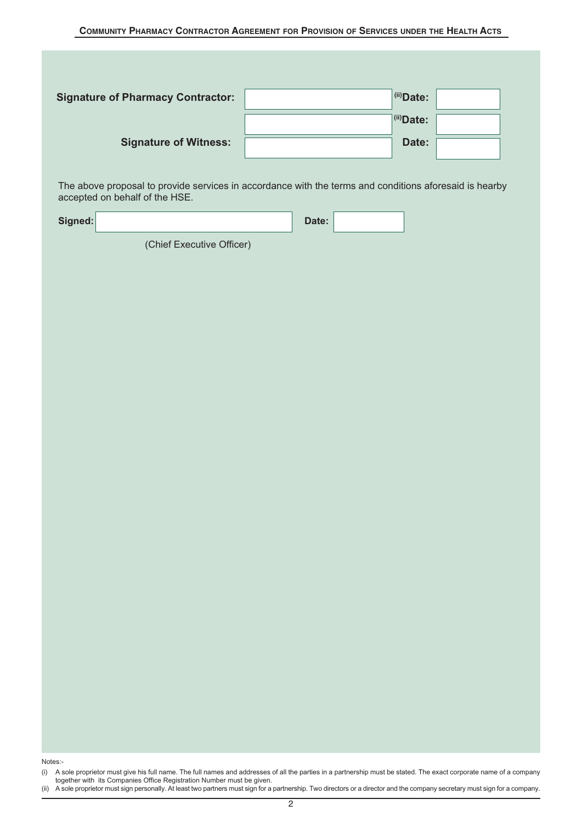| <b>Signature of Pharmacy Contractor:</b> | $(iii)$ Date: |  |
|------------------------------------------|---------------|--|
|                                          | $(iii)$ Date: |  |
| <b>Signature of Witness:</b>             | Date:         |  |

The above proposal to provide services in accordance with the terms and conditions aforesaid is hearby accepted on behalf of the HSE.

| Signed: | $-1$<br>$\Box$ ate: |  |
|---------|---------------------|--|
|         |                     |  |

(Chief Executive Officer)

*Notes:-*

<sup>(</sup>i) A sole proprietor must give his full name. The full names and addresses of all the parties in a partnership must be stated. The exact corporate name of a company *together with its Companies Office Registration Number must be given.*

<sup>(</sup>ii) A sole proprietor must sign personally. At least two partners must sign for a partnership. Two directors or a director and the company secretary must sign for a company.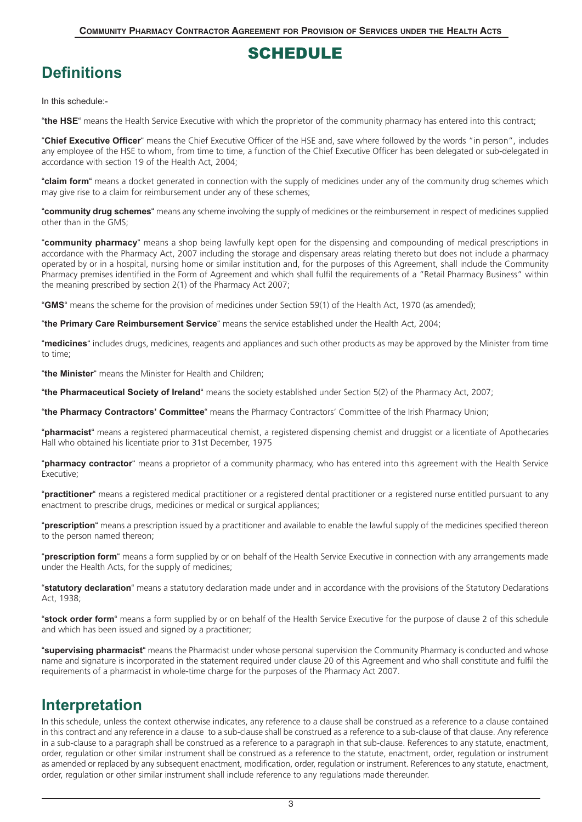### *SCHEDULE*

# *Definitions*

*In this schedule:-*

*"the HSE"* means the Health Service Executive with which the proprietor of the community pharmacy has entered into this contract;

*"Chief Executive Officer"* means the Chief Executive Officer of the HSE and, save where followed by the words "in person", includes any employee of the HSE to whom, from time to time, a function of the Chief Executive Officer has been delegated or sub-delegated in accordance with section 19 of the Health Act, 2004;

*"claim form"* means a docket generated in connection with the supply of medicines under any of the community drug schemes which may give rise to a claim for reimbursement under any of these schemes;

*"community drug schemes"* means any scheme involving the supply of medicines or the reimbursement in respect of medicines supplied other than in the GMS;

*"community pharmacy"* means a shop being lawfully kept open for the dispensing and compounding of medical prescriptions in accordance with the Pharmacy Act, 2007 including the storage and dispensary areas relating thereto but does not include a pharmacy operated by or in a hospital, nursing home or similar institution and, for the purposes of this Agreement, shall include the Community Pharmacy premises identified in the Form of Agreement and which shall fulfil the requirements of a "Retail Pharmacy Business" within the meaning prescribed by section 2(1) of the Pharmacy Act 2007;

*"GMS"* means the scheme for the provision of medicines under Section 59(1) of the Health Act, 1970 (as amended);

*"the Primary Care Reimbursement Service"* means the service established under the Health Act, 2004;

*"medicines"* includes drugs, medicines, reagents and appliances and such other products as may be approved by the Minister from time to time;

*"the Minister"* means the Minister for Health and Children;

*"the Pharmaceutical Society of Ireland"* means the society established under Section 5(2) of the Pharmacy Act, 2007;

*"the Pharmacy Contractors' Committee"* means the Pharmacy Contractors' Committee of the Irish Pharmacy Union;

*"pharmacist"* means a registered pharmaceutical chemist, a registered dispensing chemist and druggist or a licentiate of Apothecaries Hall who obtained his licentiate prior to 31st December, 1975

*"pharmacy contractor"* means a proprietor of a community pharmacy, who has entered into this agreement with the Health Service Executive;

*"practitioner"* means a registered medical practitioner or a registered dental practitioner or a registered nurse entitled pursuant to any enactment to prescribe drugs, medicines or medical or surgical appliances;

*"prescription"* means a prescription issued by a practitioner and available to enable the lawful supply of the medicines specified thereon to the person named thereon;

*"prescription form"* means a form supplied by or on behalf of the Health Service Executive in connection with any arrangements made under the Health Acts, for the supply of medicines;

*"statutory declaration"* means a statutory declaration made under and in accordance with the provisions of the Statutory Declarations Act, 1938;

*"stock order form"* means a form supplied by or on behalf of the Health Service Executive for the purpose of clause 2 of this schedule and which has been issued and signed by a practitioner;

*"supervising pharmacist"* means the Pharmacist under whose personal supervision the Community Pharmacy is conducted and whose name and signature is incorporated in the statement required under clause 20 of this Agreement and who shall constitute and fulfil the requirements of a pharmacist in whole-time charge for the purposes of the Pharmacy Act 2007.

## *Interpretation*

In this schedule, unless the context otherwise indicates, any reference to a clause shall be construed as a reference to a clause contained in this contract and any reference in a clause to a sub-clause shall be construed as a reference to a sub-clause of that clause. Any reference in a sub-clause to a paragraph shall be construed as a reference to a paragraph in that sub-clause. References to any statute, enactment, order, regulation or other similar instrument shall be construed as a reference to the statute, enactment, order, regulation or instrument as amended or replaced by any subsequent enactment, modification, order, regulation or instrument. References to any statute, enactment, order, regulation or other similar instrument shall include reference to any regulations made thereunder.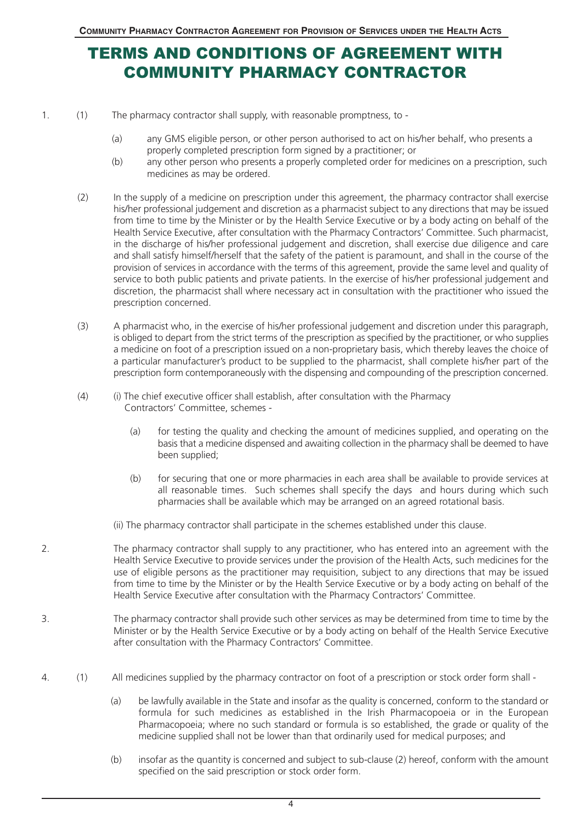# *TERMS AND CONDITIONS OF AGREEMENT WITH COMMUNITY PHARMACY CONTRACTOR*

1. (1) The pharmacy contractor shall supply, with reasonable promptness, to -

- (a) any GMS eligible person, or other person authorised to act on his/her behalf, who presents a properly completed prescription form signed by a practitioner; or
- (b) any other person who presents a properly completed order for medicines on a prescription, such medicines as may be ordered.
- (2) In the supply of a medicine on prescription under this agreement, the pharmacy contractor shall exercise his/her professional judgement and discretion as a pharmacist subject to any directions that may be issued from time to time by the Minister or by the Health Service Executive or by a body acting on behalf of the Health Service Executive, after consultation with the Pharmacy Contractors' Committee. Such pharmacist, in the discharge of his/her professional judgement and discretion, shall exercise due diligence and care and shall satisfy himself/herself that the safety of the patient is paramount, and shall in the course of the provision of services in accordance with the terms of this agreement, provide the same level and quality of service to both public patients and private patients. In the exercise of his/her professional judgement and discretion, the pharmacist shall where necessary act in consultation with the practitioner who issued the prescription concerned.
- (3) A pharmacist who, in the exercise of his/her professional judgement and discretion under this paragraph, is obliged to depart from the strict terms of the prescription as specified by the practitioner, or who supplies a medicine on foot of a prescription issued on a non-proprietary basis, which thereby leaves the choice of a particular manufacturer's product to be supplied to the pharmacist, shall complete his/her part of the prescription form contemporaneously with the dispensing and compounding of the prescription concerned.
- (4) (i) The chief executive officer shall establish, after consultation with the Pharmacy Contractors' Committee, schemes -
	- (a) for testing the quality and checking the amount of medicines supplied, and operating on the basis that a medicine dispensed and awaiting collection in the pharmacy shall be deemed to have been supplied;
	- (b) for securing that one or more pharmacies in each area shall be available to provide services at all reasonable times. Such schemes shall specify the days and hours during which such pharmacies shall be available which may be arranged on an agreed rotational basis.
	- (ii) The pharmacy contractor shall participate in the schemes established under this clause.
- 2. The pharmacy contractor shall supply to any practitioner, who has entered into an agreement with the Health Service Executive to provide services under the provision of the Health Acts, such medicines for the use of eligible persons as the practitioner may requisition, subject to any directions that may be issued from time to time by the Minister or by the Health Service Executive or by a body acting on behalf of the Health Service Executive after consultation with the Pharmacy Contractors' Committee.
- 3. The pharmacy contractor shall provide such other services as may be determined from time to time by the Minister or by the Health Service Executive or by a body acting on behalf of the Health Service Executive after consultation with the Pharmacy Contractors' Committee.
- 4. (1) All medicines supplied by the pharmacy contractor on foot of a prescription or stock order form shall
	- (a) be lawfully available in the State and insofar as the quality is concerned, conform to the standard or formula for such medicines as established in the Irish Pharmacopoeia or in the European Pharmacopoeia; where no such standard or formula is so established, the grade or quality of the medicine supplied shall not be lower than that ordinarily used for medical purposes; and
	- (b) insofar as the quantity is concerned and subject to sub-clause (2) hereof, conform with the amount specified on the said prescription or stock order form.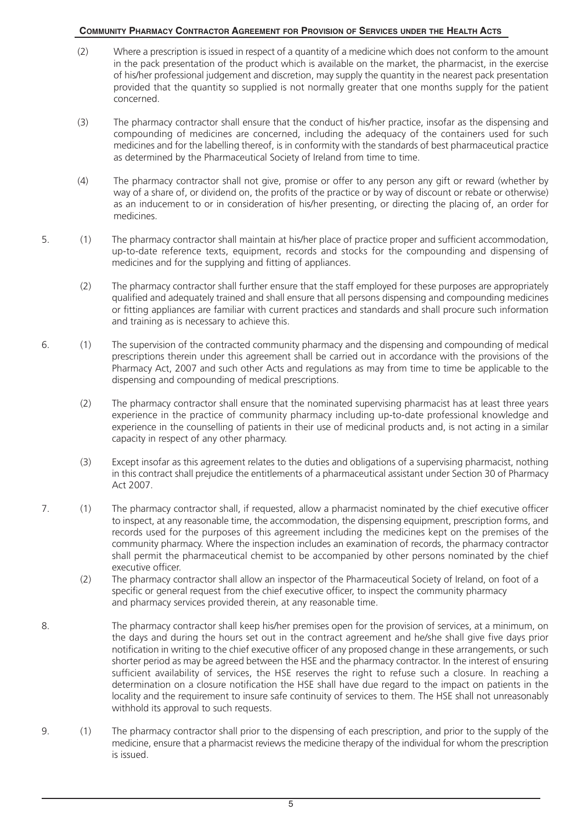- (2) Where a prescription is issued in respect of a quantity of a medicine which does not conform to the amount in the pack presentation of the product which is available on the market, the pharmacist, in the exercise of his/her professional judgement and discretion, may supply the quantity in the nearest pack presentation provided that the quantity so supplied is not normally greater that one months supply for the patient concerned.
- (3) The pharmacy contractor shall ensure that the conduct of his/her practice, insofar as the dispensing and compounding of medicines are concerned, including the adequacy of the containers used for such medicines and for the labelling thereof, is in conformity with the standards of best pharmaceutical practice as determined by the Pharmaceutical Society of Ireland from time to time.
- (4) The pharmacy contractor shall not give, promise or offer to any person any gift or reward (whether by way of a share of, or dividend on, the profits of the practice or by way of discount or rebate or otherwise) as an inducement to or in consideration of his/her presenting, or directing the placing of, an order for medicines.
- 5. (1) The pharmacy contractor shall maintain at his/her place of practice proper and sufficient accommodation, up-to-date reference texts, equipment, records and stocks for the compounding and dispensing of medicines and for the supplying and fitting of appliances.
	- (2) The pharmacy contractor shall further ensure that the staff employed for these purposes are appropriately qualified and adequately trained and shall ensure that all persons dispensing and compounding medicines or fitting appliances are familiar with current practices and standards and shall procure such information and training as is necessary to achieve this.
- 6. (1) The supervision of the contracted community pharmacy and the dispensing and compounding of medical prescriptions therein under this agreement shall be carried out in accordance with the provisions of the Pharmacy Act, 2007 and such other Acts and regulations as may from time to time be applicable to the dispensing and compounding of medical prescriptions.
	- (2) The pharmacy contractor shall ensure that the nominated supervising pharmacist has at least three years experience in the practice of community pharmacy including up-to-date professional knowledge and experience in the counselling of patients in their use of medicinal products and, is not acting in a similar capacity in respect of any other pharmacy.
	- (3) Except insofar as this agreement relates to the duties and obligations of a supervising pharmacist, nothing in this contract shall prejudice the entitlements of a pharmaceutical assistant under Section 30 of Pharmacy Act 2007.
- 7. (1) The pharmacy contractor shall, if requested, allow a pharmacist nominated by the chief executive officer to inspect, at any reasonable time, the accommodation, the dispensing equipment, prescription forms, and records used for the purposes of this agreement including the medicines kept on the premises of the community pharmacy. Where the inspection includes an examination of records, the pharmacy contractor shall permit the pharmaceutical chemist to be accompanied by other persons nominated by the chief executive officer.
	- (2) The pharmacy contractor shall allow an inspector of the Pharmaceutical Society of Ireland, on foot of a specific or general request from the chief executive officer, to inspect the community pharmacy and pharmacy services provided therein, at any reasonable time.
- 8. The pharmacy contractor shall keep his/her premises open for the provision of services, at a minimum, on the days and during the hours set out in the contract agreement and he/she shall give five days prior notification in writing to the chief executive officer of any proposed change in these arrangements, or such shorter period as may be agreed between the HSE and the pharmacy contractor. In the interest of ensuring sufficient availability of services, the HSE reserves the right to refuse such a closure. In reaching a determination on a closure notification the HSE shall have due regard to the impact on patients in the locality and the requirement to insure safe continuity of services to them. The HSE shall not unreasonably withhold its approval to such requests.
- 9. (1) The pharmacy contractor shall prior to the dispensing of each prescription, and prior to the supply of the medicine, ensure that a pharmacist reviews the medicine therapy of the individual for whom the prescription is issued.

 $\overline{5}$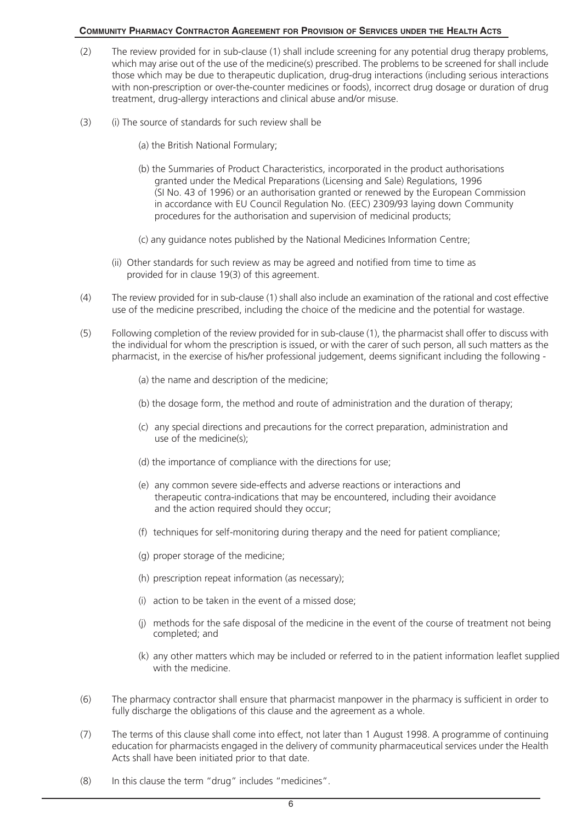- (2) The review provided for in sub-clause (1) shall include screening for any potential drug therapy problems, which may arise out of the use of the medicine(s) prescribed. The problems to be screened for shall include those which may be due to therapeutic duplication, drug-drug interactions (including serious interactions with non-prescription or over-the-counter medicines or foods), incorrect drug dosage or duration of drug treatment, drug-allergy interactions and clinical abuse and/or misuse.
- (3) (i) The source of standards for such review shall be
	- (a) the British National Formulary;
	- (b) the Summaries of Product Characteristics, incorporated in the product authorisations granted under the Medical Preparations (Licensing and Sale) Regulations, 1996 (SI No. 43 of 1996) or an authorisation granted or renewed by the European Commission in accordance with EU Council Regulation No. (EEC) 2309/93 laying down Community procedures for the authorisation and supervision of medicinal products;
	- (c) any guidance notes published by the National Medicines Information Centre;
	- (ii) Other standards for such review as may be agreed and notified from time to time as provided for in clause 19(3) of this agreement.
- (4) The review provided for in sub-clause (1) shall also include an examination of the rational and cost effective use of the medicine prescribed, including the choice of the medicine and the potential for wastage.
- (5) Following completion of the review provided for in sub-clause (1), the pharmacist shall offer to discuss with the individual for whom the prescription is issued, or with the carer of such person, all such matters as the pharmacist, in the exercise of his/her professional judgement, deems significant including the following -

(a) the name and description of the medicine;

- (b) the dosage form, the method and route of administration and the duration of therapy;
- (c) any special directions and precautions for the correct preparation, administration and use of the medicine(s);
- (d) the importance of compliance with the directions for use;
- (e) any common severe side-effects and adverse reactions or interactions and therapeutic contra-indications that may be encountered, including their avoidance and the action required should they occur;
- (f) techniques for self-monitoring during therapy and the need for patient compliance;
- (g) proper storage of the medicine;
- (h) prescription repeat information (as necessary);
- (i) action to be taken in the event of a missed dose;
- (j) methods for the safe disposal of the medicine in the event of the course of treatment not being completed; and
- (k) any other matters which may be included or referred to in the patient information leaflet supplied with the medicine.
- (6) The pharmacy contractor shall ensure that pharmacist manpower in the pharmacy is sufficient in order to fully discharge the obligations of this clause and the agreement as a whole.
- (7) The terms of this clause shall come into effect, not later than 1 August 1998. A programme of continuing education for pharmacists engaged in the delivery of community pharmaceutical services under the Health Acts shall have been initiated prior to that date.
- (8) In this clause the term "drug" includes "medicines".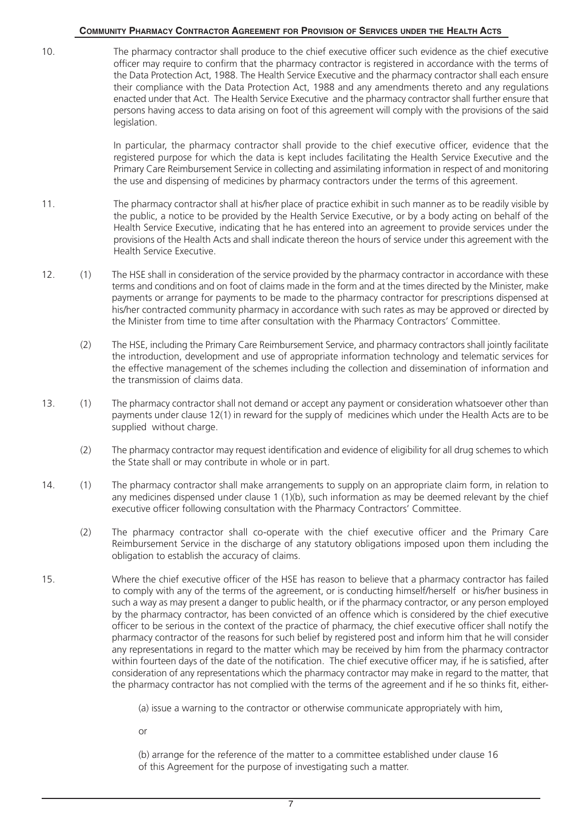10. The pharmacy contractor shall produce to the chief executive officer such evidence as the chief executive officer may require to confirm that the pharmacy contractor is registered in accordance with the terms of the Data Protection Act, 1988. The Health Service Executive and the pharmacy contractor shall each ensure their compliance with the Data Protection Act, 1988 and any amendments thereto and any regulations enacted under that Act. The Health Service Executive and the pharmacy contractor shall further ensure that persons having access to data arising on foot of this agreement will comply with the provisions of the said legislation.

> In particular, the pharmacy contractor shall provide to the chief executive officer, evidence that the registered purpose for which the data is kept includes facilitating the Health Service Executive and the Primary Care Reimbursement Service in collecting and assimilating information in respect of and monitoring the use and dispensing of medicines by pharmacy contractors under the terms of this agreement.

- 11. The pharmacy contractor shall at his/her place of practice exhibit in such manner as to be readily visible by the public, a notice to be provided by the Health Service Executive, or by a body acting on behalf of the Health Service Executive, indicating that he has entered into an agreement to provide services under the provisions of the Health Acts and shall indicate thereon the hours of service under this agreement with the Health Service Executive.
- 12. (1) The HSE shall in consideration of the service provided by the pharmacy contractor in accordance with these terms and conditions and on foot of claims made in the form and at the times directed by the Minister, make payments or arrange for payments to be made to the pharmacy contractor for prescriptions dispensed at his/her contracted community pharmacy in accordance with such rates as may be approved or directed by the Minister from time to time after consultation with the Pharmacy Contractors' Committee.
	- (2) The HSE, including the Primary Care Reimbursement Service, and pharmacy contractors shall jointly facilitate the introduction, development and use of appropriate information technology and telematic services for the effective management of the schemes including the collection and dissemination of information and the transmission of claims data.
- 13. (1) The pharmacy contractor shall not demand or accept any payment or consideration whatsoever other than payments under clause 12(1) in reward for the supply of medicines which under the Health Acts are to be supplied without charge.
	- (2) The pharmacy contractor may request identification and evidence of eligibility for all drug schemes to which the State shall or may contribute in whole or in part.
- 14. (1) The pharmacy contractor shall make arrangements to supply on an appropriate claim form, in relation to any medicines dispensed under clause 1 (1)(b), such information as may be deemed relevant by the chief executive officer following consultation with the Pharmacy Contractors' Committee.
	- (2) The pharmacy contractor shall co-operate with the chief executive officer and the Primary Care Reimbursement Service in the discharge of any statutory obligations imposed upon them including the obligation to establish the accuracy of claims.
- 15. Where the chief executive officer of the HSE has reason to believe that a pharmacy contractor has failed to comply with any of the terms of the agreement, or is conducting himself/herself or his/her business in such a way as may present a danger to public health, or if the pharmacy contractor, or any person employed by the pharmacy contractor, has been convicted of an offence which is considered by the chief executive officer to be serious in the context of the practice of pharmacy, the chief executive officer shall notify the pharmacy contractor of the reasons for such belief by registered post and inform him that he will consider any representations in regard to the matter which may be received by him from the pharmacy contractor within fourteen days of the date of the notification. The chief executive officer may, if he is satisfied, after consideration of any representations which the pharmacy contractor may make in regard to the matter, that the pharmacy contractor has not complied with the terms of the agreement and if he so thinks fit, either-

(a) issue a warning to the contractor or otherwise communicate appropriately with him,

or

(b) arrange for the reference of the matter to a committee established under clause 16 of this Agreement for the purpose of investigating such a matter.

7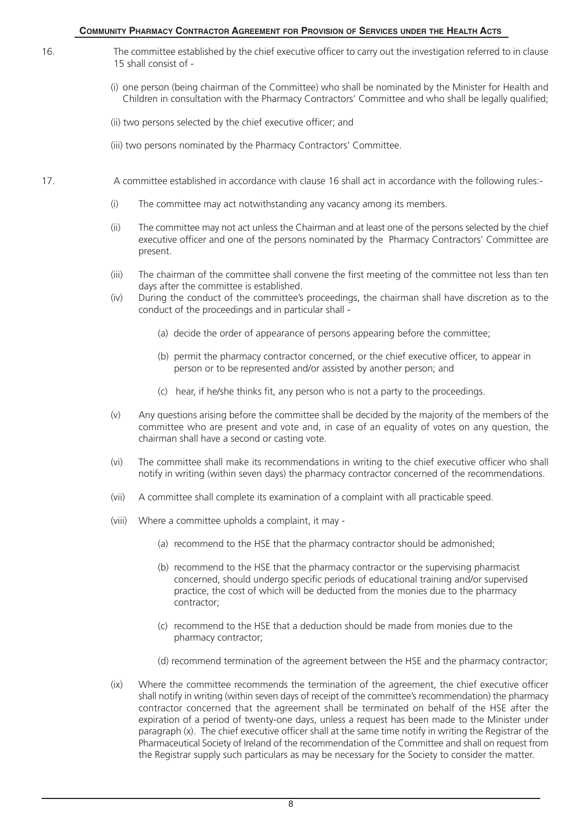- 16. The committee established by the chief executive officer to carry out the investigation referred to in clause 15 shall consist of -
	- (i) one person (being chairman of the Committee) who shall be nominated by the Minister for Health and Children in consultation with the Pharmacy Contractors' Committee and who shall be legally qualified;
	- (ii) two persons selected by the chief executive officer; and
	- (iii) two persons nominated by the Pharmacy Contractors' Committee.
- 17. A committee established in accordance with clause 16 shall act in accordance with the following rules:-
	- (i) The committee may act notwithstanding any vacancy among its members.
	- (ii) The committee may not act unless the Chairman and at least one of the persons selected by the chief executive officer and one of the persons nominated by the Pharmacy Contractors' Committee are present.
	- (iii) The chairman of the committee shall convene the first meeting of the committee not less than ten days after the committee is established.
	- (iv) During the conduct of the committee's proceedings, the chairman shall have discretion as to the conduct of the proceedings and in particular shall -
		- (a) decide the order of appearance of persons appearing before the committee;
		- (b) permit the pharmacy contractor concerned, or the chief executive officer, to appear in person or to be represented and/or assisted by another person; and
		- (c) hear, if he/she thinks fit, any person who is not a party to the proceedings.
	- (v) Any questions arising before the committee shall be decided by the majority of the members of the committee who are present and vote and, in case of an equality of votes on any question, the chairman shall have a second or casting vote.
	- (vi) The committee shall make its recommendations in writing to the chief executive officer who shall notify in writing (within seven days) the pharmacy contractor concerned of the recommendations.
	- (vii) A committee shall complete its examination of a complaint with all practicable speed.
	- (viii) Where a committee upholds a complaint, it may
		- (a) recommend to the HSE that the pharmacy contractor should be admonished;
		- (b) recommend to the HSE that the pharmacy contractor or the supervising pharmacist concerned, should undergo specific periods of educational training and/or supervised practice, the cost of which will be deducted from the monies due to the pharmacy contractor;
		- (c) recommend to the HSE that a deduction should be made from monies due to the pharmacy contractor;
		- (d) recommend termination of the agreement between the HSE and the pharmacy contractor;
	- (ix) Where the committee recommends the termination of the agreement, the chief executive officer shall notify in writing (within seven days of receipt of the committee's recommendation) the pharmacy contractor concerned that the agreement shall be terminated on behalf of the HSE after the expiration of a period of twenty-one days, unless a request has been made to the Minister under paragraph (x). The chief executive officer shall at the same time notify in writing the Registrar of the Pharmaceutical Society of Ireland of the recommendation of the Committee and shall on request from the Registrar supply such particulars as may be necessary for the Society to consider the matter.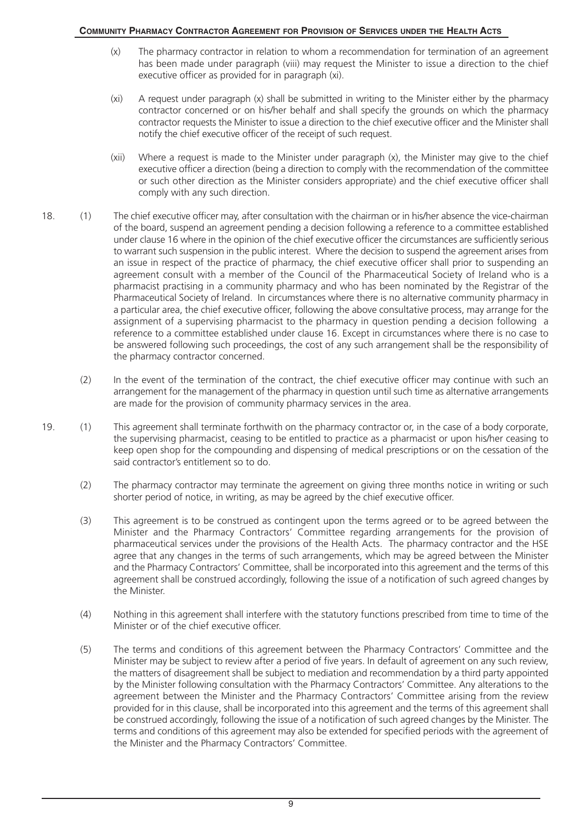- (x) The pharmacy contractor in relation to whom a recommendation for termination of an agreement has been made under paragraph (viii) may request the Minister to issue a direction to the chief executive officer as provided for in paragraph (xi).
- (xi) A request under paragraph (x) shall be submitted in writing to the Minister either by the pharmacy contractor concerned or on his/her behalf and shall specify the grounds on which the pharmacy contractor requests the Minister to issue a direction to the chief executive officer and the Minister shall notify the chief executive officer of the receipt of such request.
- (xii) Where a request is made to the Minister under paragraph (x), the Minister may give to the chief executive officer a direction (being a direction to comply with the recommendation of the committee or such other direction as the Minister considers appropriate) and the chief executive officer shall comply with any such direction.
- 18. (1) The chief executive officer may, after consultation with the chairman or in his/her absence the vice-chairman of the board, suspend an agreement pending a decision following a reference to a committee established under clause 16 where in the opinion of the chief executive officer the circumstances are sufficiently serious to warrant such suspension in the public interest. Where the decision to suspend the agreement arises from an issue in respect of the practice of pharmacy, the chief executive officer shall prior to suspending an agreement consult with a member of the Council of the Pharmaceutical Society of Ireland who is a pharmacist practising in a community pharmacy and who has been nominated by the Registrar of the Pharmaceutical Society of Ireland. In circumstances where there is no alternative community pharmacy in a particular area, the chief executive officer, following the above consultative process, may arrange for the assignment of a supervising pharmacist to the pharmacy in question pending a decision following a reference to a committee established under clause 16. Except in circumstances where there is no case to be answered following such proceedings, the cost of any such arrangement shall be the responsibility of the pharmacy contractor concerned.
	- (2) In the event of the termination of the contract, the chief executive officer may continue with such an arrangement for the management of the pharmacy in question until such time as alternative arrangements are made for the provision of community pharmacy services in the area.
- 19. (1) This agreement shall terminate forthwith on the pharmacy contractor or, in the case of a body corporate, the supervising pharmacist, ceasing to be entitled to practice as a pharmacist or upon his/her ceasing to keep open shop for the compounding and dispensing of medical prescriptions or on the cessation of the said contractor's entitlement so to do.
	- (2) The pharmacy contractor may terminate the agreement on giving three months notice in writing or such shorter period of notice, in writing, as may be agreed by the chief executive officer.
	- (3) This agreement is to be construed as contingent upon the terms agreed or to be agreed between the Minister and the Pharmacy Contractors' Committee regarding arrangements for the provision of pharmaceutical services under the provisions of the Health Acts. The pharmacy contractor and the HSE agree that any changes in the terms of such arrangements, which may be agreed between the Minister and the Pharmacy Contractors' Committee, shall be incorporated into this agreement and the terms of this agreement shall be construed accordingly, following the issue of a notification of such agreed changes by the Minister.
	- (4) Nothing in this agreement shall interfere with the statutory functions prescribed from time to time of the Minister or of the chief executive officer.
	- (5) The terms and conditions of this agreement between the Pharmacy Contractors' Committee and the Minister may be subject to review after a period of five years. In default of agreement on any such review, the matters of disagreement shall be subject to mediation and recommendation by a third party appointed by the Minister following consultation with the Pharmacy Contractors' Committee. Any alterations to the agreement between the Minister and the Pharmacy Contractors' Committee arising from the review provided for in this clause, shall be incorporated into this agreement and the terms of this agreement shall be construed accordingly, following the issue of a notification of such agreed changes by the Minister. The terms and conditions of this agreement may also be extended for specified periods with the agreement of the Minister and the Pharmacy Contractors' Committee.

 $\overline{9}$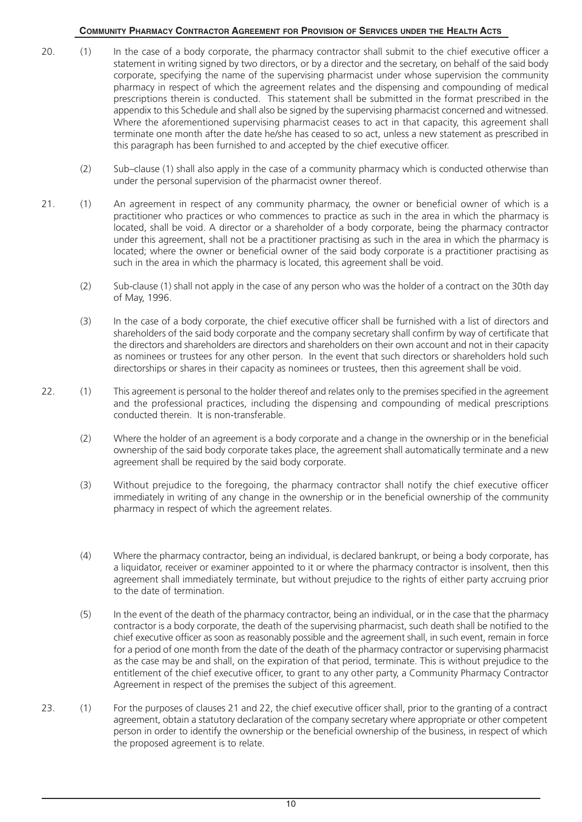- 20. (1) In the case of a body corporate, the pharmacy contractor shall submit to the chief executive officer a statement in writing signed by two directors, or by a director and the secretary, on behalf of the said body corporate, specifying the name of the supervising pharmacist under whose supervision the community pharmacy in respect of which the agreement relates and the dispensing and compounding of medical prescriptions therein is conducted. This statement shall be submitted in the format prescribed in the appendix to this Schedule and shall also be signed by the supervising pharmacist concerned and witnessed. Where the aforementioned supervising pharmacist ceases to act in that capacity, this agreement shall terminate one month after the date he/she has ceased to so act, unless a new statement as prescribed in this paragraph has been furnished to and accepted by the chief executive officer.
	- (2) Sub–clause (1) shall also apply in the case of a community pharmacy which is conducted otherwise than under the personal supervision of the pharmacist owner thereof.
- 21. (1) An agreement in respect of any community pharmacy, the owner or beneficial owner of which is a practitioner who practices or who commences to practice as such in the area in which the pharmacy is located, shall be void. A director or a shareholder of a body corporate, being the pharmacy contractor under this agreement, shall not be a practitioner practising as such in the area in which the pharmacy is located; where the owner or beneficial owner of the said body corporate is a practitioner practising as such in the area in which the pharmacy is located, this agreement shall be void.
	- (2) Sub-clause (1) shall not apply in the case of any person who was the holder of a contract on the 30th day of May, 1996.
	- (3) In the case of a body corporate, the chief executive officer shall be furnished with a list of directors and shareholders of the said body corporate and the company secretary shall confirm by way of certificate that the directors and shareholders are directors and shareholders on their own account and not in their capacity as nominees or trustees for any other person. In the event that such directors or shareholders hold such directorships or shares in their capacity as nominees or trustees, then this agreement shall be void.
- 22. (1) This agreement is personal to the holder thereof and relates only to the premises specified in the agreement and the professional practices, including the dispensing and compounding of medical prescriptions conducted therein. It is non-transferable.
	- (2) Where the holder of an agreement is a body corporate and a change in the ownership or in the beneficial ownership of the said body corporate takes place, the agreement shall automatically terminate and a new agreement shall be required by the said body corporate.
	- (3) Without prejudice to the foregoing, the pharmacy contractor shall notify the chief executive officer immediately in writing of any change in the ownership or in the beneficial ownership of the community pharmacy in respect of which the agreement relates.
	- (4) Where the pharmacy contractor, being an individual, is declared bankrupt, or being a body corporate, has a liquidator, receiver or examiner appointed to it or where the pharmacy contractor is insolvent, then this agreement shall immediately terminate, but without prejudice to the rights of either party accruing prior to the date of termination.
	- (5) In the event of the death of the pharmacy contractor, being an individual, or in the case that the pharmacy contractor is a body corporate, the death of the supervising pharmacist, such death shall be notified to the chief executive officer as soon as reasonably possible and the agreement shall, in such event, remain in force for a period of one month from the date of the death of the pharmacy contractor or supervising pharmacist as the case may be and shall, on the expiration of that period, terminate. This is without prejudice to the entitlement of the chief executive officer, to grant to any other party, a Community Pharmacy Contractor Agreement in respect of the premises the subject of this agreement.
- 23. (1) For the purposes of clauses 21 and 22, the chief executive officer shall, prior to the granting of a contract agreement, obtain a statutory declaration of the company secretary where appropriate or other competent person in order to identify the ownership or the beneficial ownership of the business, in respect of which the proposed agreement is to relate.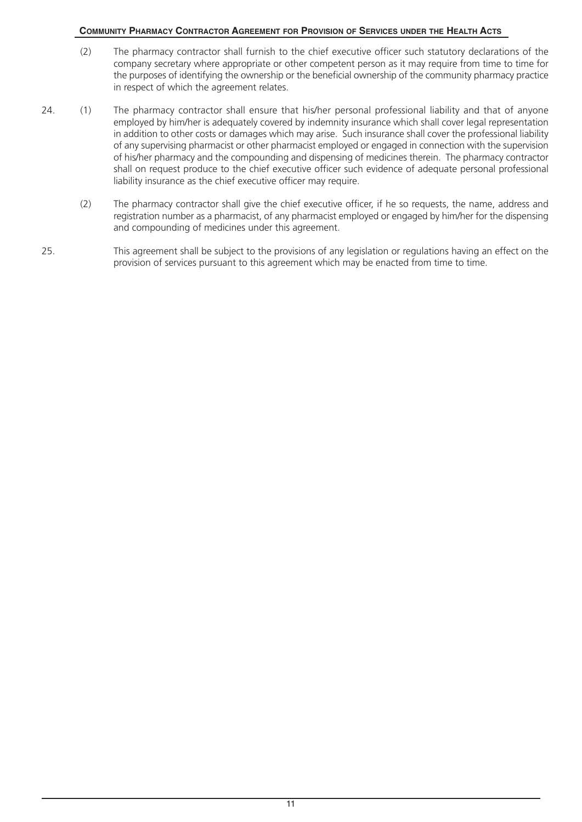- (2) The pharmacy contractor shall furnish to the chief executive officer such statutory declarations of the company secretary where appropriate or other competent person as it may require from time to time for the purposes of identifying the ownership or the beneficial ownership of the community pharmacy practice in respect of which the agreement relates.
- 24. (1) The pharmacy contractor shall ensure that his/her personal professional liability and that of anyone employed by him/her is adequately covered by indemnity insurance which shall cover legal representation in addition to other costs or damages which may arise. Such insurance shall cover the professional liability of any supervising pharmacist or other pharmacist employed or engaged in connection with the supervision of his/her pharmacy and the compounding and dispensing of medicines therein. The pharmacy contractor shall on request produce to the chief executive officer such evidence of adequate personal professional liability insurance as the chief executive officer may require.
	- (2) The pharmacy contractor shall give the chief executive officer, if he so requests, the name, address and registration number as a pharmacist, of any pharmacist employed or engaged by him/her for the dispensing and compounding of medicines under this agreement.
- 25. This agreement shall be subject to the provisions of any legislation or regulations having an effect on the provision of services pursuant to this agreement which may be enacted from time to time.